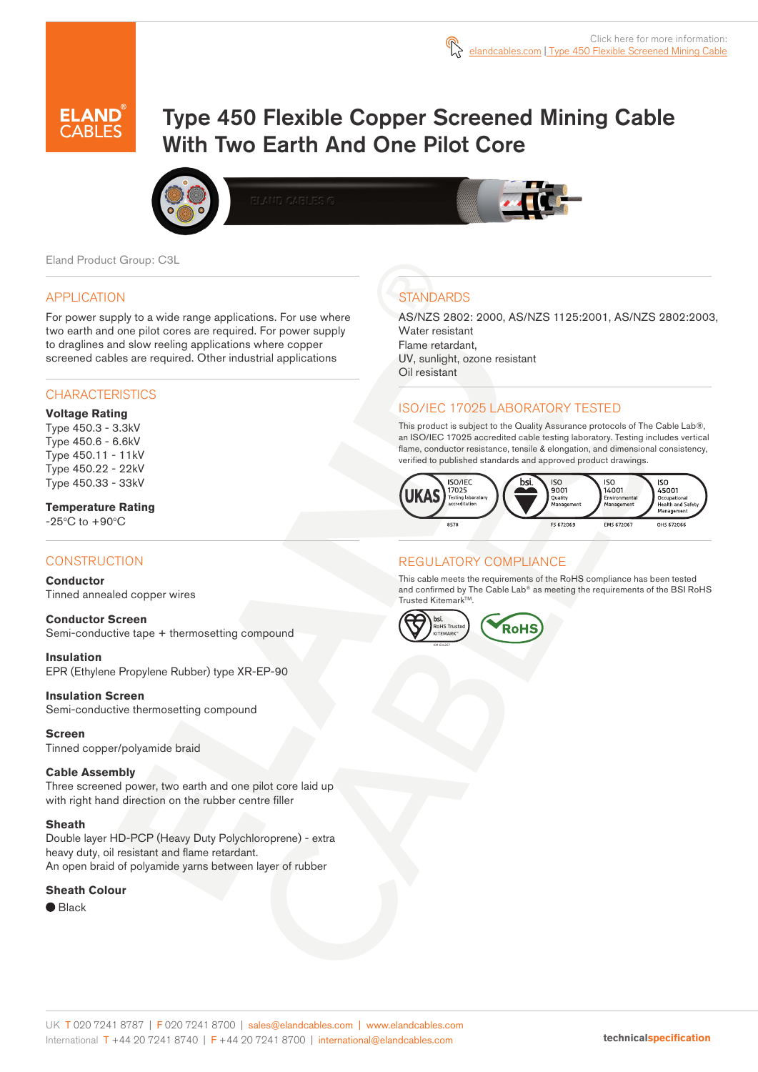

# Type 450 Flexible Copper Screened Mining Cable With Two Earth And One Pilot Core





Eland Product Group: C3L

### APPLICATION

For power supply to a wide range applications. For use where two earth and one pilot cores are required. For power supply to draglines and slow reeling applications where copper screened cables are required. Other industrial applications

## **CHARACTERISTICS**

### **Voltage Rating**

Type 450.3 - 3.3kV Type 450.6 - 6.6kV Type 450.11 - 11kV Type 450.22 - 22kV Type 450.33 - 33kV

# **Temperature Rating**

 $-25^{\circ}$ C to  $+90^{\circ}$ C

# **CONSTRUCTION**

#### **Conductor**

Tinned annealed copper wires

**Conductor Screen** Semi-conductive tape + thermosetting compound

**Insulation** EPR (Ethylene Propylene Rubber) type XR-EP-90

**Insulation Screen**  Semi-conductive thermosetting compound

**Screen** Tinned copper/polyamide braid

#### **Cable Assembly**

Three screened power, two earth and one pilot core laid up with right hand direction on the rubber centre filler

#### **Sheath**

Double layer HD-PCP (Heavy Duty Polychloroprene) - extra heavy duty, oil resistant and flame retardant. An open braid of polyamide yarns between layer of rubber

#### **Sheath Colour**

● Black

# **STANDARDS**

AS/NZS 2802: 2000, AS/NZS 1125:2001, AS/NZS 2802:2003, Water resistant Flame retardant, UV, sunlight, ozone resistant Oil resistant

# ISO/IEC 17025 LABORATORY TESTED

This product is subject to the Quality Assurance protocols of The Cable Lab®, an ISO/IEC 17025 accredited cable testing laboratory. Testing includes vertical flame, conductor resistance, tensile & elongation, and dimensional consistency, verified to published standards and approved product drawings.



# REGULATORY COMPLIANCE

This cable meets the requirements of the RoHS compliance has been tested and confirmed by The Cable Lab® as meeting the requirements of the BSI RoHS Trusted Kitemark™